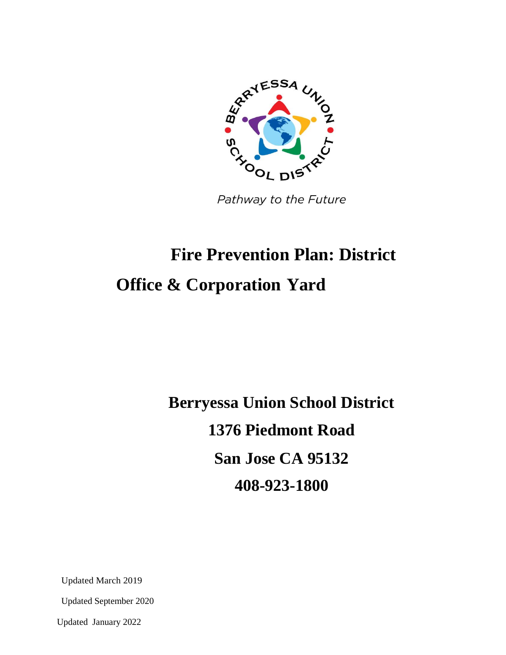

Pathway to the Future

# **Fire Prevention Plan: District Office & Corporation Yard**

**Berryessa Union School District 1376 Piedmont Road San Jose CA 95132 408-923-1800**

Updated March 2019

Updated September 2020

Updated January 2022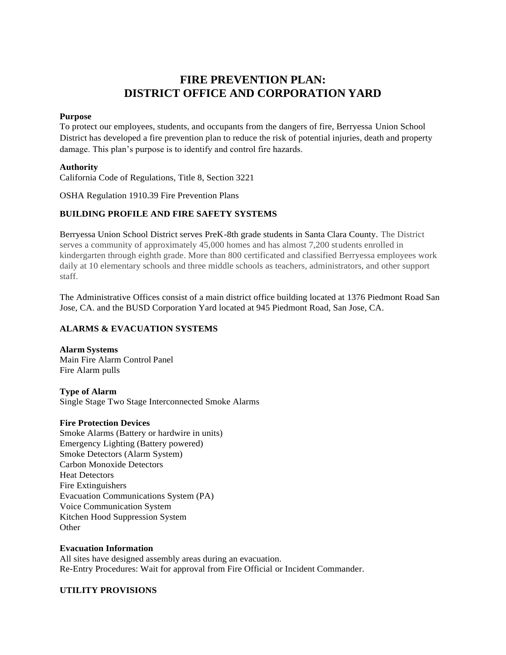# **FIRE PREVENTION PLAN: DISTRICT OFFICE AND CORPORATION YARD**

#### **Purpose**

To protect our employees, students, and occupants from the dangers of fire, Berryessa Union School District has developed a fire prevention plan to reduce the risk of potential injuries, death and property damage. This plan's purpose is to identify and control fire hazards.

#### **Authority**

California Code of Regulations, Title 8, Section 3221

OSHA Regulation 1910.39 Fire Prevention Plans

# **BUILDING PROFILE AND FIRE SAFETY SYSTEMS**

Berryessa Union School District serves PreK-8th grade students in Santa Clara County. The District serves a community of approximately 45,000 homes and has almost 7,200 students enrolled in kindergarten through eighth grade. More than 800 certificated and classified Berryessa employees work daily at 10 elementary schools and three middle schools as teachers, administrators, and other support staff.

The Administrative Offices consist of a main district office building located at 1376 Piedmont Road San Jose, CA. and the BUSD Corporation Yard located at 945 Piedmont Road, San Jose, CA.

#### **ALARMS & EVACUATION SYSTEMS**

**Alarm Systems** Main Fire Alarm Control Panel Fire Alarm pulls

**Type of Alarm** Single Stage Two Stage Interconnected Smoke Alarms

#### **Fire Protection Devices**

Smoke Alarms (Battery or hardwire in units) Emergency Lighting (Battery powered) Smoke Detectors (Alarm System) Carbon Monoxide Detectors Heat Detectors Fire Extinguishers Evacuation Communications System (PA) Voice Communication System Kitchen Hood Suppression System **Other** 

#### **Evacuation Information**

All sites have designed assembly areas during an evacuation. Re-Entry Procedures: Wait for approval from Fire Official or Incident Commander.

#### **UTILITY PROVISIONS**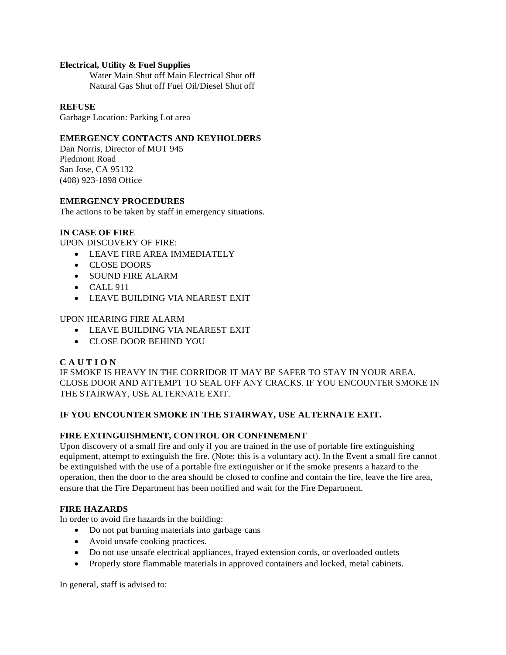#### **Electrical, Utility & Fuel Supplies**

Water Main Shut off Main Electrical Shut off Natural Gas Shut off Fuel Oil/Diesel Shut off

#### **REFUSE**

Garbage Location: Parking Lot area

#### **EMERGENCY CONTACTS AND KEYHOLDERS**

Dan Norris, Director of MOT 945 Piedmont Road San Jose, CA 95132 (408) 923-1898 Office

#### **EMERGENCY PROCEDURES**

The actions to be taken by staff in emergency situations.

#### **IN CASE OF FIRE**

UPON DISCOVERY OF FIRE:

- LEAVE FIRE AREA IMMEDIATELY
- CLOSE DOORS
- SOUND FIRE ALARM
- $\bullet$  CALL 911
- LEAVE BUILDING VIA NEAREST EXIT

UPON HEARING FIRE ALARM

- LEAVE BUILDING VIA NEAREST EXIT
- CLOSE DOOR BEHIND YOU

#### **C A U T I O N**

IF SMOKE IS HEAVY IN THE CORRIDOR IT MAY BE SAFER TO STAY IN YOUR AREA. CLOSE DOOR AND ATTEMPT TO SEAL OFF ANY CRACKS. IF YOU ENCOUNTER SMOKE IN THE STAIRWAY, USE ALTERNATE EXIT.

#### **IF YOU ENCOUNTER SMOKE IN THE STAIRWAY, USE ALTERNATE EXIT.**

#### **FIRE EXTINGUISHMENT, CONTROL OR CONFINEMENT**

Upon discovery of a small fire and only if you are trained in the use of portable fire extinguishing equipment, attempt to extinguish the fire. (Note: this is a voluntary act). In the Event a small fire cannot be extinguished with the use of a portable fire extinguisher or if the smoke presents a hazard to the operation, then the door to the area should be closed to confine and contain the fire, leave the fire area, ensure that the Fire Department has been notified and wait for the Fire Department.

#### **FIRE HAZARDS**

In order to avoid fire hazards in the building:

- Do not put burning materials into garbage cans
- Avoid unsafe cooking practices.
- Do not use unsafe electrical appliances, frayed extension cords, or overloaded outlets
- Properly store flammable materials in approved containers and locked, metal cabinets.

In general, staff is advised to: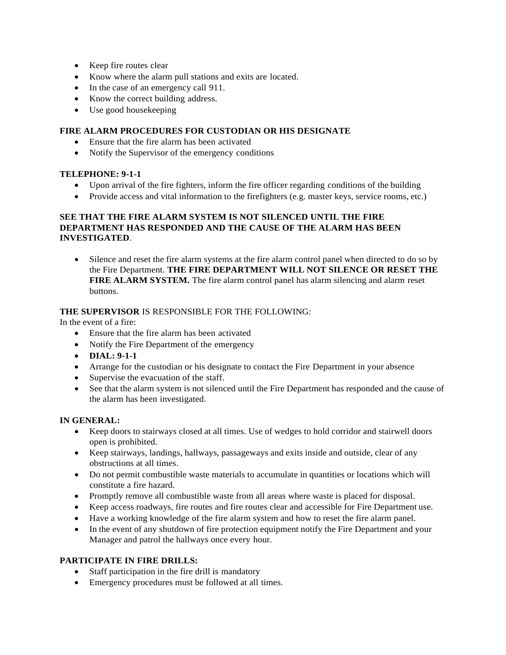- Keep fire routes clear
- Know where the alarm pull stations and exits are located.
- In the case of an emergency call 911.
- Know the correct building address.
- Use good housekeeping

#### **FIRE ALARM PROCEDURES FOR CUSTODIAN OR HIS DESIGNATE**

- Ensure that the fire alarm has been activated
- Notify the Supervisor of the emergency conditions

#### **TELEPHONE: 9-1-1**

- Upon arrival of the fire fighters, inform the fire officer regarding conditions of the building
- Provide access and vital information to the firefighters (e.g. master keys, service rooms, etc.)

#### **SEE THAT THE FIRE ALARM SYSTEM IS NOT SILENCED UNTIL THE FIRE DEPARTMENT HAS RESPONDED AND THE CAUSE OF THE ALARM HAS BEEN INVESTIGATED**.

 Silence and reset the fire alarm systems at the fire alarm control panel when directed to do so by the Fire Department. **THE FIRE DEPARTMENT WILL NOT SILENCE OR RESET THE FIRE ALARM SYSTEM.** The fire alarm control panel has alarm silencing and alarm reset buttons.

# **THE SUPERVISOR** IS RESPONSIBLE FOR THE FOLLOWING:

In the event of a fire:

- Ensure that the fire alarm has been activated
- Notify the Fire Department of the emergency
- **DIAL: 9-1-1**
- Arrange for the custodian or his designate to contact the Fire Department in your absence
- Supervise the evacuation of the staff.
- See that the alarm system is not silenced until the Fire Department has responded and the cause of the alarm has been investigated.

#### **IN GENERAL:**

- Keep doors to stairways closed at all times. Use of wedges to hold corridor and stairwell doors open is prohibited.
- Keep stairways, landings, hallways, passageways and exits inside and outside, clear of any obstructions at all times.
- Do not permit combustible waste materials to accumulate in quantities or locations which will constitute a fire hazard.
- Promptly remove all combustible waste from all areas where waste is placed for disposal.
- Keep access roadways, fire routes and fire routes clear and accessible for Fire Department use.
- Have a working knowledge of the fire alarm system and how to reset the fire alarm panel.
- In the event of any shutdown of fire protection equipment notify the Fire Department and your Manager and patrol the hallways once every hour.

#### **PARTICIPATE IN FIRE DRILLS:**

- Staff participation in the fire drill is mandatory
- Emergency procedures must be followed at all times.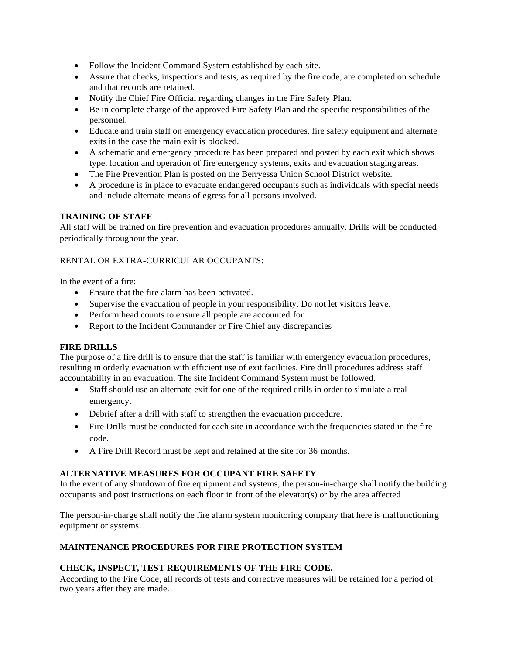- Follow the Incident Command System established by each site.
- Assure that checks, inspections and tests, as required by the fire code, are completed on schedule and that records are retained.
- Notify the Chief Fire Official regarding changes in the Fire Safety Plan.
- Be in complete charge of the approved Fire Safety Plan and the specific responsibilities of the personnel.
- Educate and train staff on emergency evacuation procedures, fire safety equipment and alternate exits in the case the main exit is blocked.
- A schematic and emergency procedure has been prepared and posted by each exit which shows type, location and operation of fire emergency systems, exits and evacuation staging areas.
- The Fire Prevention Plan is posted on the Berryessa Union School District website.
- A procedure is in place to evacuate endangered occupants such as individuals with special needs and include alternate means of egress for all persons involved.

#### **TRAINING OF STAFF**

All staff will be trained on fire prevention and evacuation procedures annually. Drills will be conducted periodically throughout the year.

# RENTAL OR EXTRA-CURRICULAR OCCUPANTS:

In the event of a fire:

- Ensure that the fire alarm has been activated.
- Supervise the evacuation of people in your responsibility. Do not let visitors leave.
- Perform head counts to ensure all people are accounted for
- Report to the Incident Commander or Fire Chief any discrepancies

#### **FIRE DRILLS**

The purpose of a fire drill is to ensure that the staff is familiar with emergency evacuation procedures, resulting in orderly evacuation with efficient use of exit facilities. Fire drill procedures address staff accountability in an evacuation. The site Incident Command System must be followed.

- Staff should use an alternate exit for one of the required drills in order to simulate a real emergency.
- Debrief after a drill with staff to strengthen the evacuation procedure.
- Fire Drills must be conducted for each site in accordance with the frequencies stated in the fire code.
- A Fire Drill Record must be kept and retained at the site for 36 months.

#### **ALTERNATIVE MEASURES FOR OCCUPANT FIRE SAFETY**

In the event of any shutdown of fire equipment and systems, the person-in-charge shall notify the building occupants and post instructions on each floor in front of the elevator(s) or by the area affected

The person-in-charge shall notify the fire alarm system monitoring company that here is malfunctioning equipment or systems.

# **MAINTENANCE PROCEDURES FOR FIRE PROTECTION SYSTEM**

# **CHECK, INSPECT, TEST REQUIREMENTS OF THE FIRE CODE.**

According to the Fire Code, all records of tests and corrective measures will be retained for a period of two years after they are made.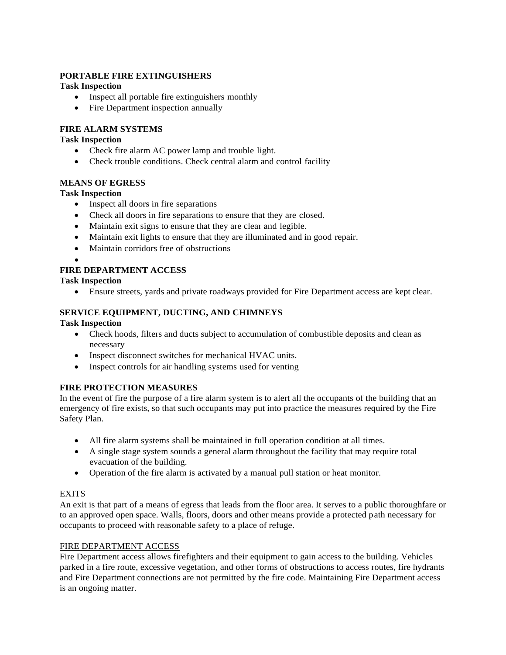# **PORTABLE FIRE EXTINGUISHERS**

#### **Task Inspection**

- Inspect all portable fire extinguishers monthly
- Fire Department inspection annually

# **FIRE ALARM SYSTEMS**

#### **Task Inspection**

- Check fire alarm AC power lamp and trouble light.
- Check trouble conditions. Check central alarm and control facility

# **MEANS OF EGRESS**

# **Task Inspection**

- Inspect all doors in fire separations
- Check all doors in fire separations to ensure that they are closed.
- Maintain exit signs to ensure that they are clear and legible.
- Maintain exit lights to ensure that they are illuminated and in good repair.
- Maintain corridors free of obstructions
- $\bullet$

# **FIRE DEPARTMENT ACCESS**

# **Task Inspection**

Ensure streets, yards and private roadways provided for Fire Department access are kept clear.

# **SERVICE EQUIPMENT, DUCTING, AND CHIMNEYS**

#### **Task Inspection**

- Check hoods, filters and ducts subject to accumulation of combustible deposits and clean as necessary
- Inspect disconnect switches for mechanical HVAC units.
- Inspect controls for air handling systems used for venting

#### **FIRE PROTECTION MEASURES**

In the event of fire the purpose of a fire alarm system is to alert all the occupants of the building that an emergency of fire exists, so that such occupants may put into practice the measures required by the Fire Safety Plan.

- All fire alarm systems shall be maintained in full operation condition at all times.
- A single stage system sounds a general alarm throughout the facility that may require total evacuation of the building.
- Operation of the fire alarm is activated by a manual pull station or heat monitor.

#### **EXITS**

An exit is that part of a means of egress that leads from the floor area. It serves to a public thoroughfare or to an approved open space. Walls, floors, doors and other means provide a protected path necessary for occupants to proceed with reasonable safety to a place of refuge.

#### FIRE DEPARTMENT ACCESS

Fire Department access allows firefighters and their equipment to gain access to the building. Vehicles parked in a fire route, excessive vegetation, and other forms of obstructions to access routes, fire hydrants and Fire Department connections are not permitted by the fire code. Maintaining Fire Department access is an ongoing matter.